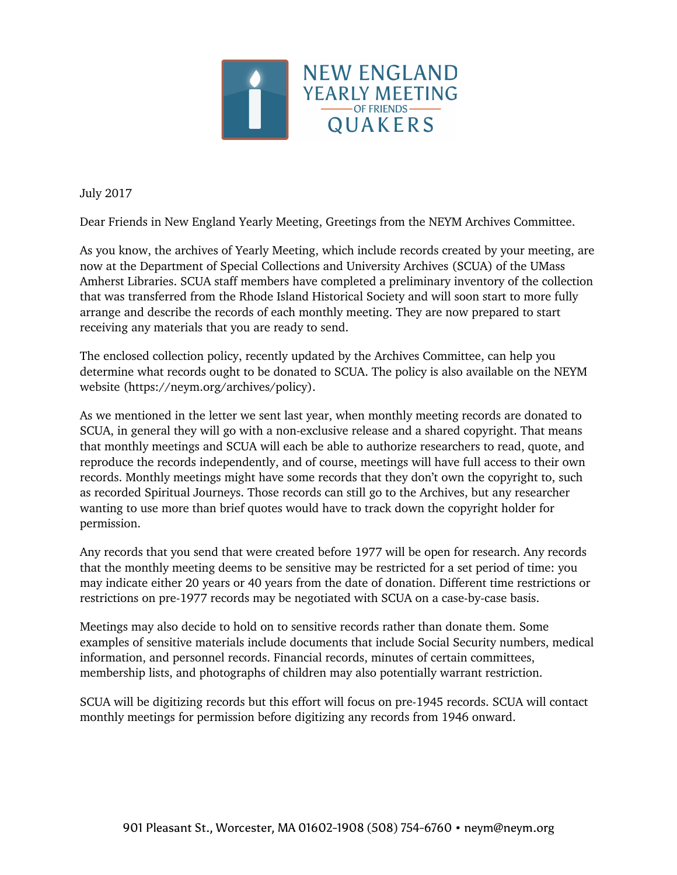

July 2017

Dear Friends in New England Yearly Meeting, Greetings from the NEYM Archives Committee.

As you know, the archives of Yearly Meeting, which include records created by your meeting, are now at the Department of Special Collections and University Archives (SCUA) of the UMass Amherst Libraries. SCUA staff members have completed a preliminary inventory of the collection that was transferred from the Rhode Island Historical Society and will soon start to more fully arrange and describe the records of each monthly meeting. They are now prepared to start receiving any materials that you are ready to send.

The enclosed collection policy, recently updated by the Archives Committee, can help you determine what records ought to be donated to SCUA. The policy is also available on the NEYM website (https://neym.org/archives/policy).

As we mentioned in the letter we sent last year, when monthly meeting records are donated to SCUA, in general they will go with a non-exclusive release and a shared copyright. That means that monthly meetings and SCUA will each be able to authorize researchers to read, quote, and reproduce the records independently, and of course, meetings will have full access to their own records. Monthly meetings might have some records that they don't own the copyright to, such as recorded Spiritual Journeys. Those records can still go to the Archives, but any researcher wanting to use more than brief quotes would have to track down the copyright holder for permission.

Any records that you send that were created before 1977 will be open for research. Any records that the monthly meeting deems to be sensitive may be restricted for a set period of time: you may indicate either 20 years or 40 years from the date of donation. Different time restrictions or restrictions on pre-1977 records may be negotiated with SCUA on a case-by-case basis.

Meetings may also decide to hold on to sensitive records rather than donate them. Some examples of sensitive materials include documents that include Social Security numbers, medical information, and personnel records. Financial records, minutes of certain committees, membership lists, and photographs of children may also potentially warrant restriction.

SCUA will be digitizing records but this effort will focus on pre-1945 records. SCUA will contact monthly meetings for permission before digitizing any records from 1946 onward.